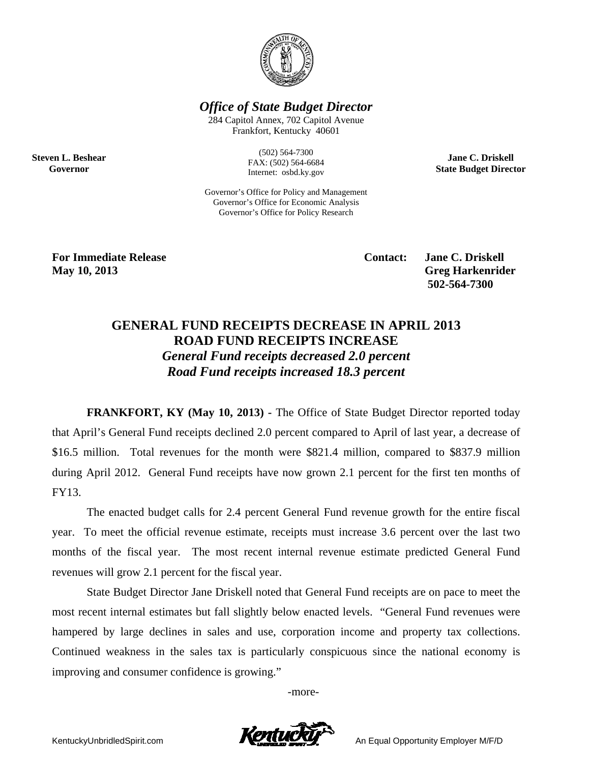

**Office of State Budget Director** 

284 Capitol Annex, 702 Capitol Avenue Frankfort, Kentucky 40601

> $(502) 564 - 7300$ FAX: (502) 564-6684 Internet: osbd.ky.gov

Governor's Office for Policy and Management Governor's Office for Economic Analysis Governor's Office for Policy Research

**Jane C. Driskell State Budget Director** 

**For Immediate Release** May 10, 2013

**Steven L. Beshear** 

Governor

**Contact:** 

**Jane C. Driskell Greg Harkenrider** 502-564-7300

## **GENERAL FUND RECEIPTS DECREASE IN APRIL 2013 ROAD FUND RECEIPTS INCREASE General Fund receipts decreased 2.0 percent** Road Fund receipts increased 18.3 percent

**FRANKFORT, KY (May 10, 2013)** - The Office of State Budget Director reported today that April's General Fund receipts declined 2.0 percent compared to April of last year, a decrease of \$16.5 million. Total revenues for the month were \$821.4 million, compared to \$837.9 million during April 2012. General Fund receipts have now grown 2.1 percent for the first ten months of FY13.

The enacted budget calls for 2.4 percent General Fund revenue growth for the entire fiscal year. To meet the official revenue estimate, receipts must increase 3.6 percent over the last two months of the fiscal year. The most recent internal revenue estimate predicted General Fund revenues will grow 2.1 percent for the fiscal year.

State Budget Director Jane Driskell noted that General Fund receipts are on pace to meet the most recent internal estimates but fall slightly below enacted levels. "General Fund revenues were hampered by large declines in sales and use, corporation income and property tax collections. Continued weakness in the sales tax is particularly conspicuous since the national economy is improving and consumer confidence is growing."

-more-



An Equal Opportunity Employer M/F/D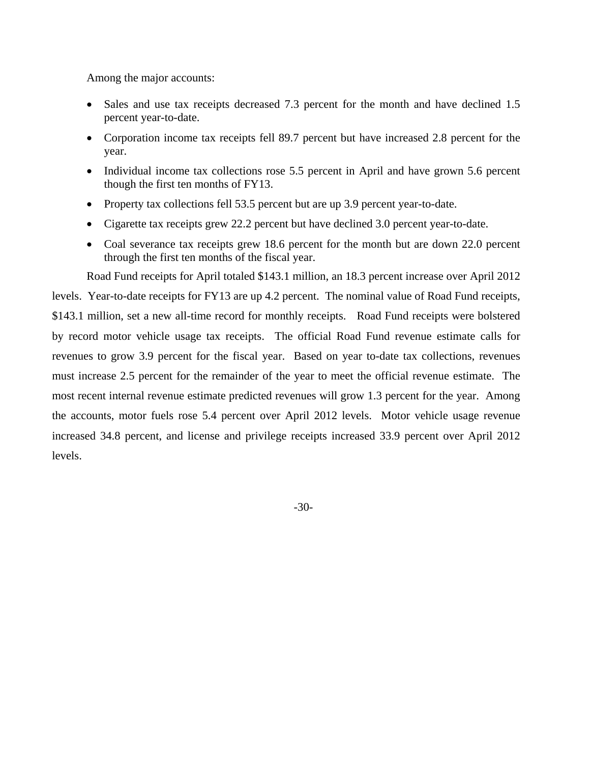Among the major accounts:

- Sales and use tax receipts decreased 7.3 percent for the month and have declined 1.5 percent year-to-date.
- Corporation income tax receipts fell 89.7 percent but have increased 2.8 percent for the year.
- Individual income tax collections rose 5.5 percent in April and have grown 5.6 percent though the first ten months of FY13.
- Property tax collections fell 53.5 percent but are up 3.9 percent year-to-date.
- Cigarette tax receipts grew 22.2 percent but have declined 3.0 percent year-to-date.
- Coal severance tax receipts grew 18.6 percent for the month but are down 22.0 percent through the first ten months of the fiscal year.

Road Fund receipts for April totaled \$143.1 million, an 18.3 percent increase over April 2012 levels. Year-to-date receipts for FY13 are up 4.2 percent. The nominal value of Road Fund receipts, \$143.1 million, set a new all-time record for monthly receipts. Road Fund receipts were bolstered by record motor vehicle usage tax receipts. The official Road Fund revenue estimate calls for revenues to grow 3.9 percent for the fiscal year. Based on year to-date tax collections, revenues must increase 2.5 percent for the remainder of the year to meet the official revenue estimate. The most recent internal revenue estimate predicted revenues will grow 1.3 percent for the year. Among the accounts, motor fuels rose 5.4 percent over April 2012 levels. Motor vehicle usage revenue increased 34.8 percent, and license and privilege receipts increased 33.9 percent over April 2012 levels.

-30-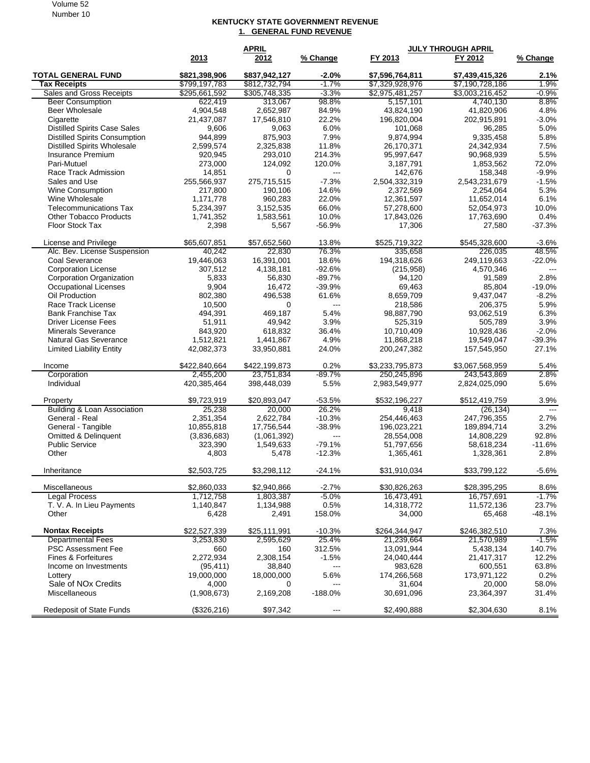## Volume 52 Number 10

## **KENTUCKY STATE GOVERNMENT REVENUE 1. GENERAL FUND REVENUE**

|                                                    | <b>APRIL</b>          |                        |                   | <b>JULY THROUGH APRIL</b> |                          |                        |  |
|----------------------------------------------------|-----------------------|------------------------|-------------------|---------------------------|--------------------------|------------------------|--|
|                                                    | 2013                  | 2012                   | % Change          | FY 2013                   | FY 2012                  | % Change               |  |
| <b>TOTAL GENERAL FUND</b>                          | \$821,398,906         | \$837,942,127          | $-2.0\%$          | \$7,596,764,811           | \$7,439,415,326          | 2.1%                   |  |
| <b>Tax Receipts</b>                                | \$799,197,783         | \$812,732,794          | $-1.7%$           | \$7,329,928,976           | \$7,190,728,186          | 1.9%                   |  |
| Sales and Gross Receipts                           | \$295,661,592         | \$305,748,335          | $-3.3%$           | \$2,975,481,257           | \$3,003,216,452          | $-0.9%$                |  |
| <b>Beer Consumption</b>                            | 622,419               | 313,067                | 98.8%             | 5,157,101                 | 4,740,130                | 8.8%                   |  |
| <b>Beer Wholesale</b>                              | 4.904.548             | 2,652,987              | 84.9%             | 43,824,190                | 41,820,906               | 4.8%                   |  |
| Cigarette                                          | 21,437,087            | 17,546,810             | 22.2%             | 196,820,004               | 202,915,891              | $-3.0%$                |  |
| <b>Distilled Spirits Case Sales</b>                | 9,606                 | 9,063                  | 6.0%              | 101,068                   | 96,285                   | 5.0%                   |  |
| <b>Distilled Spirits Consumption</b>               | 944,899               | 875,903                | 7.9%              | 9,874,994                 | 9,335,458                | 5.8%                   |  |
| <b>Distilled Spirits Wholesale</b>                 | 2.599.574             | 2,325,838              | 11.8%             | 26,170,371                | 24,342,934               | 7.5%                   |  |
| Insurance Premium                                  | 920,945               | 293,010                | 214.3%            | 95,997,647                | 90,968,939               | 5.5%                   |  |
| Pari-Mutuel                                        | 273,000               | 124,092                | 120.0%            | 3,187,791                 | 1,853,562                | 72.0%                  |  |
| Race Track Admission                               | 14,851                | $\Omega$               | $---$             | 142,676                   | 158,348                  | $-9.9%$                |  |
| Sales and Use                                      | 255,566,937           | 275,715,515            | $-7.3%$           | 2,504,332,319             | 2,543,231,679            | $-1.5%$                |  |
| Wine Consumption                                   | 217,800               | 190,106                | 14.6%             | 2,372,569                 | 2,254,064                | 5.3%                   |  |
| Wine Wholesale                                     | 1,171,778             | 960,283                | 22.0%             | 12,361,597                | 11,652,014               | 6.1%                   |  |
| <b>Telecommunications Tax</b>                      | 5,234,397             | 3,152,535              | 66.0%             | 57,278,600                | 52,054,973               | 10.0%                  |  |
| <b>Other Tobacco Products</b>                      | 1,741,352             | 1,583,561              | 10.0%             | 17,843,026                | 17,763,690               | 0.4%                   |  |
| <b>Floor Stock Tax</b>                             | 2,398                 | 5,567                  | $-56.9%$          | 17,306                    | 27,580                   | $-37.3%$               |  |
| License and Privilege                              | \$65,607,851          | \$57,652,560           | 13.8%             | \$525,719,322             | \$545,328,600            | $-3.6%$                |  |
| Alc. Bev. License Suspension                       | 40,242                | 22,830                 | 76.3%             | 335,658                   | 226,035                  | 48.5%                  |  |
| Coal Severance                                     | 19,446,063            | 16,391,001             | 18.6%             | 194,318,626               | 249,119,663              | $-22.0%$               |  |
| <b>Corporation License</b>                         | 307,512               | 4,138,181              | $-92.6%$          | (215,958)                 | 4,570,346                |                        |  |
| Corporation Organization                           | 5,833                 | 56,830                 | $-89.7%$          | 94,120                    | 91,589                   | 2.8%                   |  |
| <b>Occupational Licenses</b>                       | 9,904                 | 16,472                 | $-39.9%$          | 69,463                    | 85,804                   | $-19.0%$               |  |
| Oil Production                                     | 802,380               | 496,538                | 61.6%             | 8,659,709                 | 9,437,047                | $-8.2%$                |  |
| Race Track License                                 | 10,500                | 0                      | $---$             | 218,586                   | 206,375                  | 5.9%                   |  |
| <b>Bank Franchise Tax</b>                          | 494.391               | 469,187                | 5.4%              | 98,887,790                | 93,062,519               | 6.3%                   |  |
| Driver License Fees                                | 51,911                | 49,942                 | 3.9%              | 525,319                   | 505,789                  | 3.9%                   |  |
| <b>Minerals Severance</b>                          | 843,920               | 618,832                | 36.4%             | 10,710,409                | 10,928,436               | $-2.0%$                |  |
| Natural Gas Severance                              | 1,512,821             | 1,441,867              | 4.9%              | 11,868,218                | 19,549,047               | $-39.3%$               |  |
| <b>Limited Liability Entity</b>                    | 42,082,373            | 33,950,881             | 24.0%             | 200,247,382               | 157,545,950              | 27.1%                  |  |
| Income                                             | \$422,840,664         | \$422,199,873          | $0.2\%$           | \$3,233,795,873           | \$3,067,568,959          | 5.4%                   |  |
| Corporation                                        | 2,455,200             | 23,751,834             | $-89.7%$          | 250,245,896               | 243,543,869              | 2.8%                   |  |
| Individual                                         | 420,385,464           | 398,448,039            | 5.5%              | 2,983,549,977             | 2,824,025,090            | 5.6%                   |  |
|                                                    |                       |                        |                   |                           |                          |                        |  |
| Property<br><b>Building &amp; Loan Association</b> | \$9,723,919<br>25,238 | \$20,893,047<br>20,000 | $-53.5%$<br>26.2% | \$532,196,227<br>9,418    | \$512,419,759            | 3.9%<br>$\overline{a}$ |  |
| General - Real                                     | 2,351,354             | 2,622,784              | $-10.3%$          | 254,446,463               | (26, 134)<br>247,796,355 | 2.7%                   |  |
| General - Tangible                                 | 10,855,818            | 17,756,544             | $-38.9%$          | 196,023,221               | 189,894,714              | 3.2%                   |  |
| <b>Omitted &amp; Delinquent</b>                    | (3,836,683)           | (1,061,392)            | $\overline{a}$    | 28,554,008                | 14,808,229               | 92.8%                  |  |
| <b>Public Service</b>                              | 323,390               | 1,549,633              | $-79.1%$          | 51,797,656                | 58,618,234               | $-11.6%$               |  |
| Other                                              | 4,803                 | 5,478                  | $-12.3%$          | 1,365,461                 | 1,328,361                | 2.8%                   |  |
|                                                    |                       |                        |                   |                           |                          |                        |  |
| Inheritance                                        | \$2,503,725           | \$3,298,112            | $-24.1%$          | \$31,910,034              | \$33,799,122             | $-5.6%$                |  |
| Miscellaneous                                      | \$2,860,033           | \$2,940,866            | $-2.7%$           | \$30,826,263              | \$28,395,295             | 8.6%                   |  |
| <b>Legal Process</b>                               | 1,712,758             | 1,803,387              | $-5.0%$           | 16,473,491                | 16,757,691               | $-1.7%$                |  |
| T. V. A. In Lieu Payments                          | 1,140,847             | 1,134,988              | 0.5%              | 14,318,772                | 11,572,136               | 23.7%                  |  |
| Other                                              | 6,428                 | 2,491                  | 158.0%            | 34,000                    | 65,468                   | $-48.1%$               |  |
| <b>Nontax Receipts</b>                             | \$22,527,339          | \$25,111,991           | $-10.3%$          | \$264,344,947             | \$246,382,510            | 7.3%                   |  |
| <b>Departmental Fees</b>                           | 3,253,830             | 2,595,629              | 25.4%             | 21,239,664                | 21,570,989               | $-1.5%$                |  |
| PSC Assessment Fee                                 | 660                   | 160                    | 312.5%            | 13,091,944                | 5,438,134                | 140.7%                 |  |
| Fines & Forfeitures                                | 2,272,934             | 2,308,154              | $-1.5%$           | 24,040,444                | 21,417,317               | 12.2%                  |  |
| Income on Investments                              | (95, 411)             | 38,840                 | ---               | 983,628                   | 600,551                  | 63.8%                  |  |
| Lottery                                            | 19,000,000            | 18,000,000             | 5.6%              | 174,266,568               | 173,971,122              | 0.2%                   |  |
| Sale of NOx Credits                                | 4,000                 | 0                      | $---$             | 31,604                    | 20,000                   | 58.0%                  |  |
| Miscellaneous                                      | (1,908,673)           | 2,169,208              | $-188.0%$         | 30,691,096                | 23,364,397               | 31.4%                  |  |
| Redeposit of State Funds                           | (\$326, 216)          | \$97,342               |                   | \$2,490,888               | \$2,304,630              | 8.1%                   |  |